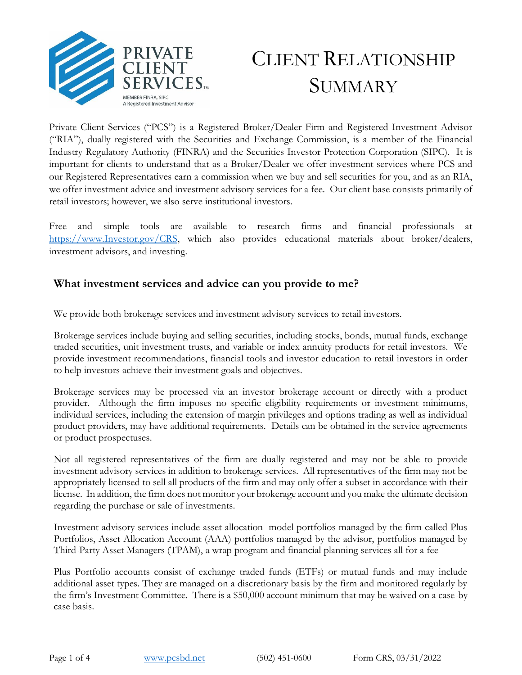

# CLIENT RELATIONSHIP **SUMMARY**

Private Client Services ("PCS") is a Registered Broker/Dealer Firm and Registered Investment Advisor ("RIA"), dually registered with the Securities and Exchange Commission, is a member of the Financial Industry Regulatory Authority (FINRA) and the Securities Investor Protection Corporation (SIPC). It is important for clients to understand that as a Broker/Dealer we offer investment services where PCS and our Registered Representatives earn a commission when we buy and sell securities for you, and as an RIA, we offer investment advice and investment advisory services for a fee. Our client base consists primarily of retail investors; however, we also serve institutional investors.

Free and simple tools are available to research firms and financial professionals at [https://www.Investor.gov/CRS,](https://www.investor.gov/CRS) which also provides educational materials about broker/dealers, investment advisors, and investing.

## **What investment services and advice can you provide to me?**

We provide both brokerage services and investment advisory services to retail investors.

Brokerage services include buying and selling securities, including stocks, bonds, mutual funds, exchange traded securities, unit investment trusts, and variable or index annuity products for retail investors. We provide investment recommendations, financial tools and investor education to retail investors in order to help investors achieve their investment goals and objectives.

Brokerage services may be processed via an investor brokerage account or directly with a product provider. Although the firm imposes no specific eligibility requirements or investment minimums, individual services, including the extension of margin privileges and options trading as well as individual product providers, may have additional requirements. Details can be obtained in the service agreements or product prospectuses.

Not all registered representatives of the firm are dually registered and may not be able to provide investment advisory services in addition to brokerage services. All representatives of the firm may not be appropriately licensed to sell all products of the firm and may only offer a subset in accordance with their license. In addition, the firm does not monitor your brokerage account and you make the ultimate decision regarding the purchase or sale of investments.

Investment advisory services include asset allocation model portfolios managed by the firm called Plus Portfolios, Asset Allocation Account (AAA) portfolios managed by the advisor, portfolios managed by Third-Party Asset Managers (TPAM), a wrap program and financial planning services all for a fee

Plus Portfolio accounts consist of exchange traded funds (ETFs) or mutual funds and may include additional asset types. They are managed on a discretionary basis by the firm and monitored regularly by the firm's Investment Committee. There is a \$50,000 account minimum that may be waived on a case-by case basis.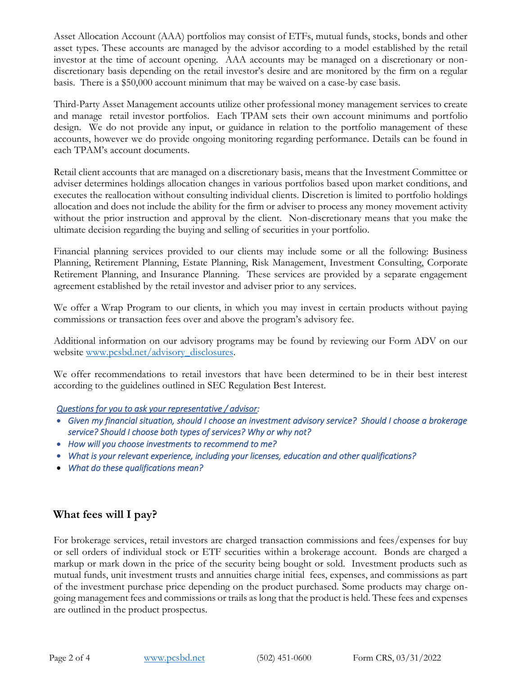Asset Allocation Account (AAA) portfolios may consist of ETFs, mutual funds, stocks, bonds and other asset types. These accounts are managed by the advisor according to a model established by the retail investor at the time of account opening. AAA accounts may be managed on a discretionary or nondiscretionary basis depending on the retail investor's desire and are monitored by the firm on a regular basis. There is a \$50,000 account minimum that may be waived on a case-by case basis.

Third-Party Asset Management accounts utilize other professional money management services to create and manage retail investor portfolios. Each TPAM sets their own account minimums and portfolio design. We do not provide any input, or guidance in relation to the portfolio management of these accounts, however we do provide ongoing monitoring regarding performance. Details can be found in each TPAM's account documents.

Retail client accounts that are managed on a discretionary basis, means that the Investment Committee or adviser determines holdings allocation changes in various portfolios based upon market conditions, and executes the reallocation without consulting individual clients. Discretion is limited to portfolio holdings allocation and does not include the ability for the firm or adviser to process any money movement activity without the prior instruction and approval by the client. Non-discretionary means that you make the ultimate decision regarding the buying and selling of securities in your portfolio.

Financial planning services provided to our clients may include some or all the following: Business Planning, Retirement Planning, Estate Planning, Risk Management, Investment Consulting, Corporate Retirement Planning, and Insurance Planning. These services are provided by a separate engagement agreement established by the retail investor and adviser prior to any services.

We offer a Wrap Program to our clients, in which you may invest in certain products without paying commissions or transaction fees over and above the program's advisory fee.

Additional information on our advisory programs may be found by reviewing our Form ADV on our website [www.pcsbd.net/advisory\\_](file://///kfgts/pcs/PCS%20Compliance/Regulation%20BI/www.pcsbd.net/advisory)disclosures.

We offer recommendations to retail investors that have been determined to be in their best interest according to the guidelines outlined in SEC Regulation Best Interest.

### *Questions for you to ask your representative / advisor:*

- *Given my financial situation, should I choose an investment advisory service? Should I choose a brokerage service? Should I choose both types of services? Why or why not?*
- *How will you choose investments to recommend to me?*
- *What is your relevant experience, including your licenses, education and other qualifications?*
- *What do these qualifications mean?*

# **What fees will I pay?**

For brokerage services, retail investors are charged transaction commissions and fees/expenses for buy or sell orders of individual stock or ETF securities within a brokerage account. Bonds are charged a markup or mark down in the price of the security being bought or sold. Investment products such as mutual funds, unit investment trusts and annuities charge initial fees, expenses, and commissions as part of the investment purchase price depending on the product purchased. Some products may charge ongoing management fees and commissions or trails as long that the product is held. These fees and expenses are outlined in the product prospectus.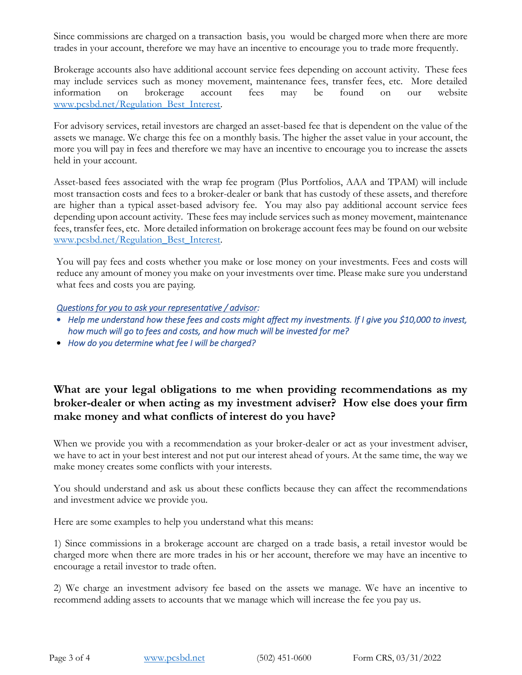Since commissions are charged on a transaction basis, you would be charged more when there are more trades in your account, therefore we may have an incentive to encourage you to trade more frequently.

Brokerage accounts also have additional account service fees depending on account activity. These fees may include services such as money movement, maintenance fees, transfer fees, etc. More detailed information on brokerage account fees may be found on our website www.pcsbd.net/Regulation Best Interest.

For advisory services, retail investors are charged an asset-based fee that is dependent on the value of the assets we manage. We charge this fee on a monthly basis. The higher the asset value in your account, the more you will pay in fees and therefore we may have an incentive to encourage you to increase the assets held in your account.

Asset-based fees associated with the wrap fee program (Plus Portfolios, AAA and TPAM) will include most transaction costs and fees to a broker-dealer or bank that has custody of these assets, and therefore are higher than a typical asset-based advisory fee. You may also pay additional account service fees depending upon account activity. These fees may include services such as money movement, maintenance fees, transfer fees, etc. More detailed information on brokerage account fees may be found on our website www.pcsbd.net/Regulation Best Interest.

You will pay fees and costs whether you make or lose money on your investments. Fees and costs will reduce any amount of money you make on your investments over time. Please make sure you understand what fees and costs you are paying.

#### *Questions for you to ask your representative / advisor:*

- *Help me understand how these fees and costs might affect my investments. If I give you \$10,000 to invest, how much will go to fees and costs, and how much will be invested for me?*
- *How do you determine what fee I will be charged?*

**What are your legal obligations to me when providing recommendations as my broker-dealer or when acting as my investment adviser? How else does your firm make money and what conflicts of interest do you have?**

When we provide you with a recommendation as your broker-dealer or act as your investment adviser, we have to act in your best interest and not put our interest ahead of yours. At the same time, the way we make money creates some conflicts with your interests.

You should understand and ask us about these conflicts because they can affect the recommendations and investment advice we provide you.

Here are some examples to help you understand what this means:

1) Since commissions in a brokerage account are charged on a trade basis, a retail investor would be charged more when there are more trades in his or her account, therefore we may have an incentive to encourage a retail investor to trade often.

2) We charge an investment advisory fee based on the assets we manage. We have an incentive to recommend adding assets to accounts that we manage which will increase the fee you pay us.